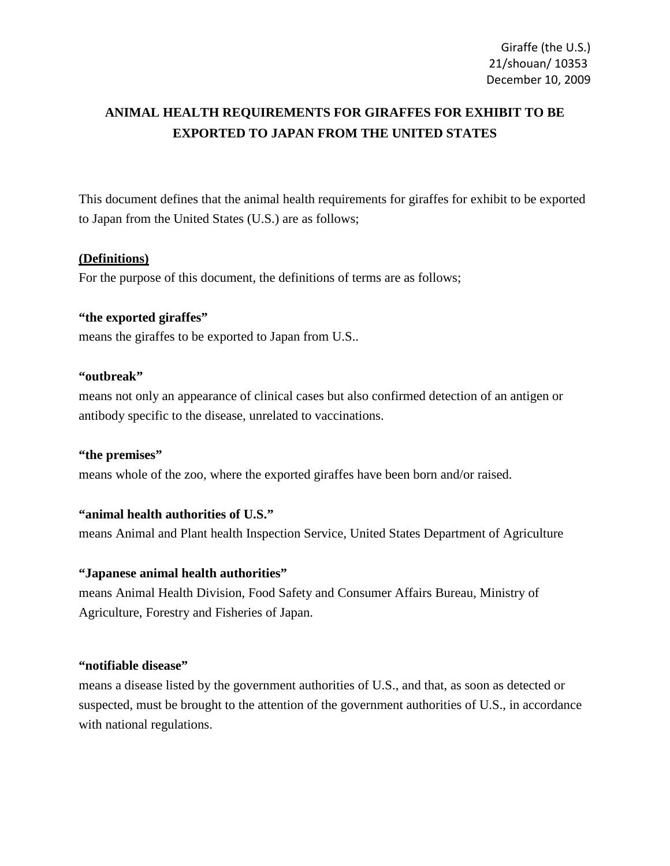# **ANIMAL HEALTH REQUIREMENTS FOR GIRAFFES FOR EXHIBIT TO BE EXPORTED TO JAPAN FROM THE UNITED STATES**

This document defines that the animal health requirements for giraffes for exhibit to be exported to Japan from the United States (U.S.) are as follows;

# **(Definitions)**

For the purpose of this document, the definitions of terms are as follows;

# **"the exported giraffes"**

means the giraffes to be exported to Japan from U.S..

# **"outbreak"**

means not only an appearance of clinical cases but also confirmed detection of an antigen or antibody specific to the disease, unrelated to vaccinations.

# **"the premises"**

means whole of the zoo, where the exported giraffes have been born and/or raised.

# **"animal health authorities of U.S."**

means Animal and Plant health Inspection Service, United States Department of Agriculture

# **"Japanese animal health authorities"**

means Animal Health Division, Food Safety and Consumer Affairs Bureau, Ministry of Agriculture, Forestry and Fisheries of Japan.

# **"notifiable disease"**

means a disease listed by the government authorities of U.S., and that, as soon as detected or suspected, must be brought to the attention of the government authorities of U.S., in accordance with national regulations.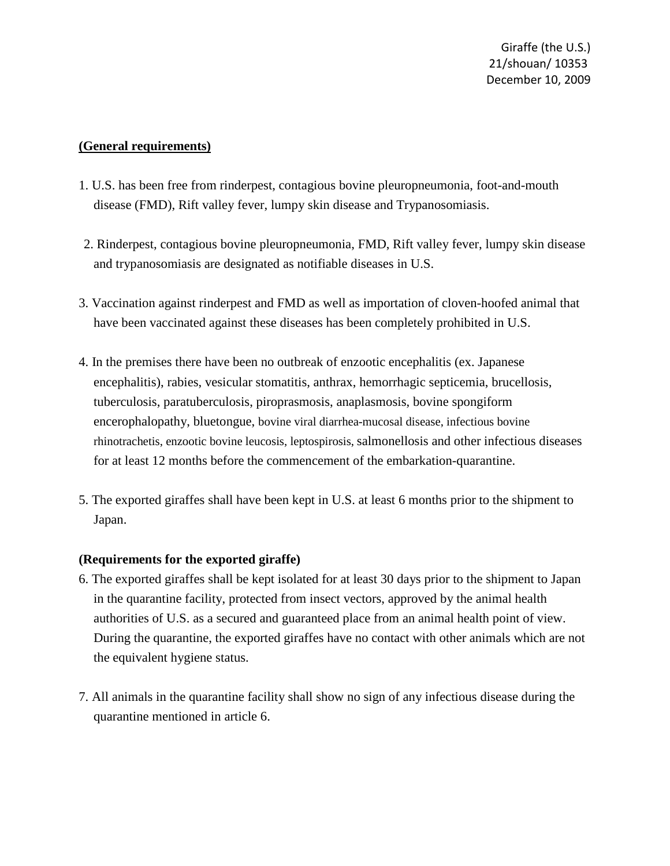Giraffe (the U.S.) 21/shouan/ 10353 December 10, 2009

# **(General requirements)**

- 1. U.S. has been free from rinderpest, contagious bovine pleuropneumonia, foot-and-mouth disease (FMD), Rift valley fever, lumpy skin disease and Trypanosomiasis.
- 2. Rinderpest, contagious bovine pleuropneumonia, FMD, Rift valley fever, lumpy skin disease and trypanosomiasis are designated as notifiable diseases in U.S.
- 3. Vaccination against rinderpest and FMD as well as importation of cloven-hoofed animal that have been vaccinated against these diseases has been completely prohibited in U.S.
- 4. In the premises there have been no outbreak of enzootic encephalitis (ex. Japanese encephalitis), rabies, vesicular stomatitis, anthrax, hemorrhagic septicemia, brucellosis, tuberculosis, paratuberculosis, piroprasmosis, anaplasmosis, bovine spongiform encerophalopathy, bluetongue, bovine viral diarrhea-mucosal disease, infectious bovine rhinotrachetis, enzootic bovine leucosis, leptospirosis, salmonellosis and other infectious diseases for at least 12 months before the commencement of the embarkation-quarantine.
- 5. The exported giraffes shall have been kept in U.S. at least 6 months prior to the shipment to Japan.

# **(Requirements for the exported giraffe)**

- 6. The exported giraffes shall be kept isolated for at least 30 days prior to the shipment to Japan in the quarantine facility, protected from insect vectors, approved by the animal health authorities of U.S. as a secured and guaranteed place from an animal health point of view. During the quarantine, the exported giraffes have no contact with other animals which are not the equivalent hygiene status.
- 7. All animals in the quarantine facility shall show no sign of any infectious disease during the quarantine mentioned in article 6.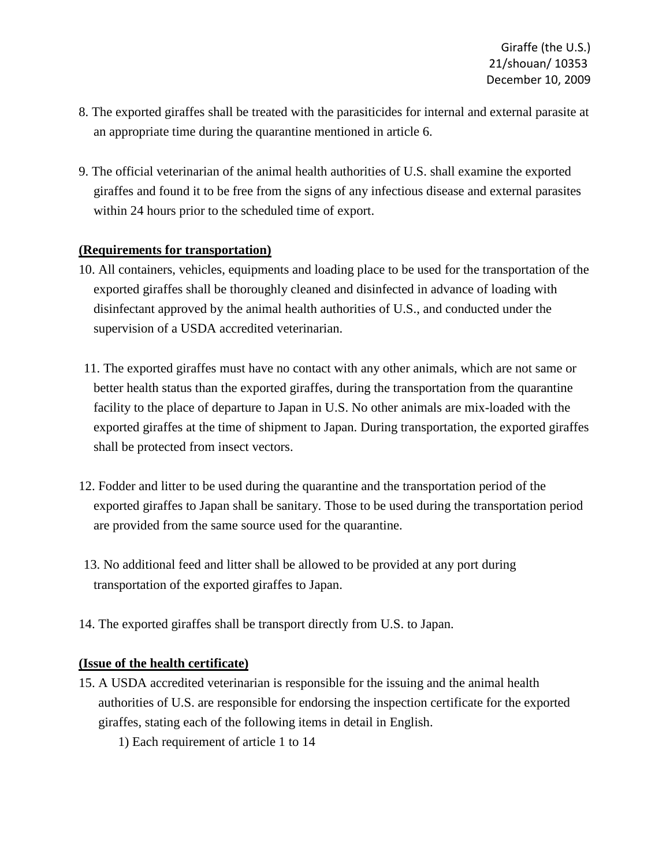- 8. The exported giraffes shall be treated with the parasiticides for internal and external parasite at an appropriate time during the quarantine mentioned in article 6.
- 9. The official veterinarian of the animal health authorities of U.S. shall examine the exported giraffes and found it to be free from the signs of any infectious disease and external parasites within 24 hours prior to the scheduled time of export.

# **(Requirements for transportation)**

- 10. All containers, vehicles, equipments and loading place to be used for the transportation of the exported giraffes shall be thoroughly cleaned and disinfected in advance of loading with disinfectant approved by the animal health authorities of U.S., and conducted under the supervision of a USDA accredited veterinarian.
- 11. The exported giraffes must have no contact with any other animals, which are not same or better health status than the exported giraffes, during the transportation from the quarantine facility to the place of departure to Japan in U.S. No other animals are mix-loaded with the exported giraffes at the time of shipment to Japan. During transportation, the exported giraffes shall be protected from insect vectors.
- 12. Fodder and litter to be used during the quarantine and the transportation period of the exported giraffes to Japan shall be sanitary. Those to be used during the transportation period are provided from the same source used for the quarantine.
- 13. No additional feed and litter shall be allowed to be provided at any port during transportation of the exported giraffes to Japan.
- 14. The exported giraffes shall be transport directly from U.S. to Japan.

# **(Issue of the health certificate)**

15. A USDA accredited veterinarian is responsible for the issuing and the animal health authorities of U.S. are responsible for endorsing the inspection certificate for the exported giraffes, stating each of the following items in detail in English.

1) Each requirement of article 1 to 14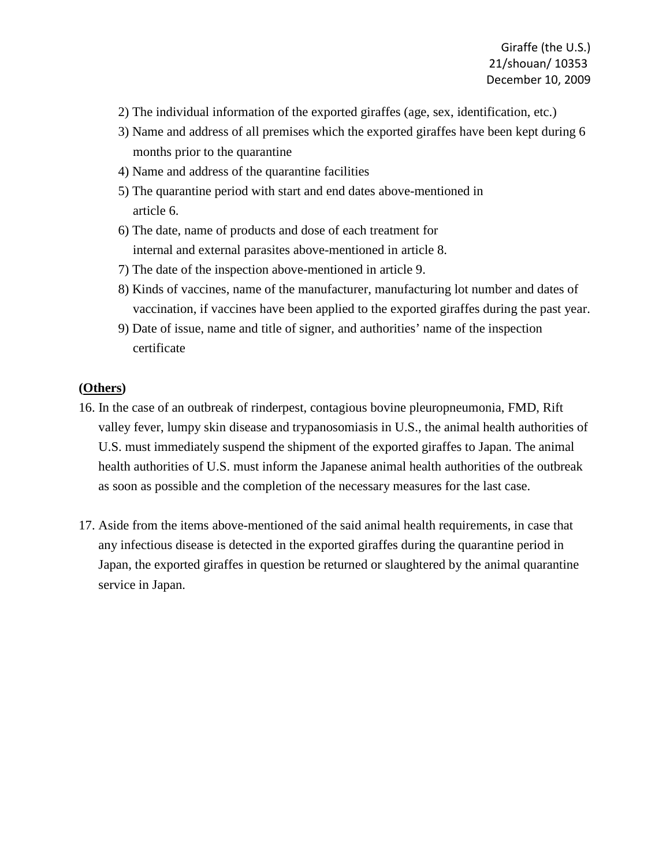- 2) The individual information of the exported giraffes (age, sex, identification, etc.)
- 3) Name and address of all premises which the exported giraffes have been kept during 6 months prior to the quarantine
- 4) Name and address of the quarantine facilities
- 5) The quarantine period with start and end dates above-mentioned in article 6.
- 6) The date, name of products and dose of each treatment for internal and external parasites above-mentioned in article 8.
- 7) The date of the inspection above-mentioned in article 9.
- 8) Kinds of vaccines, name of the manufacturer, manufacturing lot number and dates of vaccination, if vaccines have been applied to the exported giraffes during the past year.
- 9) Date of issue, name and title of signer, and authorities' name of the inspection certificate

# **(Others)**

- 16. In the case of an outbreak of rinderpest, contagious bovine pleuropneumonia, FMD, Rift valley fever, lumpy skin disease and trypanosomiasis in U.S., the animal health authorities of U.S. must immediately suspend the shipment of the exported giraffes to Japan. The animal health authorities of U.S. must inform the Japanese animal health authorities of the outbreak as soon as possible and the completion of the necessary measures for the last case.
- 17. Aside from the items above-mentioned of the said animal health requirements, in case that any infectious disease is detected in the exported giraffes during the quarantine period in Japan, the exported giraffes in question be returned or slaughtered by the animal quarantine service in Japan.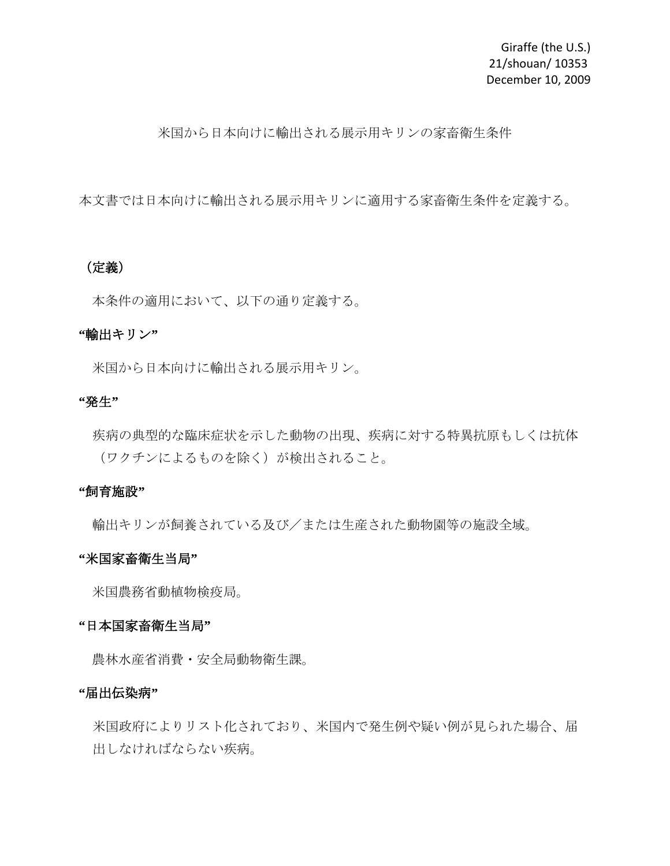Giraffe (the U.S.) 21/shouan/ 10353 December 10, 2009

米国から日本向けに輸出される展示用キリンの家畜衛生条件

本文書では日本向けに輸出される展示用キリンに適用する家畜衛生条件を定義する。

# (定義)

本条件の適用において、以下の通り定義する。

#### **"**輸出キリン**"**

米国から日本向けに輸出される展示用キリン。

#### **"**発生**"**

疾病の典型的な臨床症状を示した動物の出現、疾病に対する特異抗原もしくは抗体 (ワクチンによるものを除く)が検出されること。

# **"**飼育施設**"**

輸出キリンが飼養されている及び/または生産された動物園等の施設全域。

#### **"**米国家畜衛生当局**"**

米国農務省動植物検疫局。

# **"**日本国家畜衛生当局**"**

農林水産省消費・安全局動物衛生課。

#### **"**届出伝染病**"**

米国政府によりリスト化されており、米国内で発生例や疑い例が見られた場合、届 出しなければならない疾病。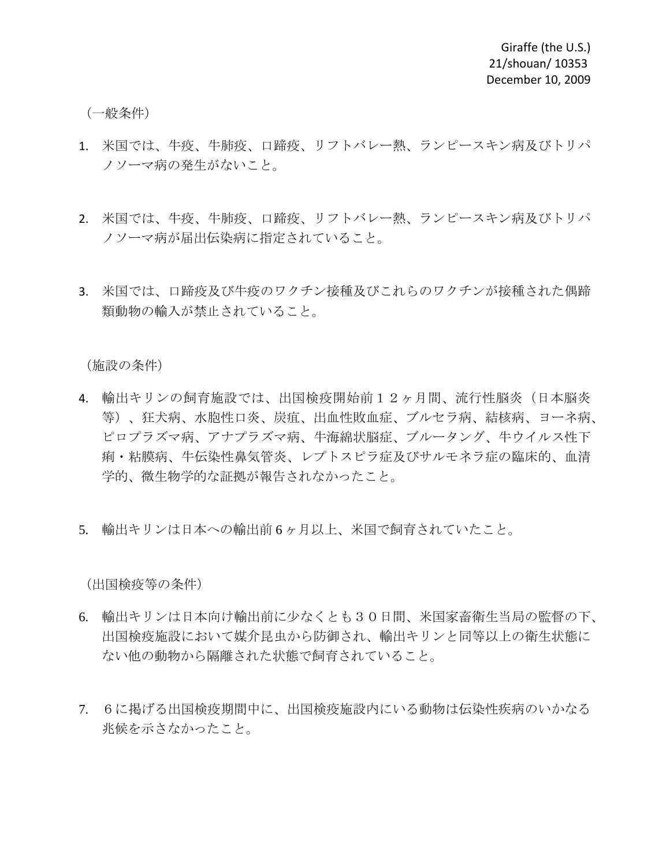(一般条件)

- 1. 米国では、牛疫、牛肺疫、口蹄疫、リフトバレー熱、ランピースキン病及びトリパ ノソーマ病の発生がないこと。
- 2. 米国では、牛疫、牛肺疫、口蹄疫、リフトバレー熱、ランピースキン病及びトリパ ノソーマ病が届出伝染病に指定されていること。
- 3. 米国では、口蹄疫及び牛疫のワクチン接種及びこれらのワクチンが接種された偶蹄 類動物の輸入が禁止されていること。

(施設の条件)

- 4. 輸出キリンの飼育施設では、出国検疫開始前12ヶ月間、流行性脳炎(日本脳炎 等)、狂犬病、水胞性口炎、炭疽、出血性敗血症、ブルセラ病、結核病、ヨーネ病、 ピロプラズマ病、アナプラズマ病、牛海綿状脳症、ブルータング、牛ウイルス性下 痢・粘膜病、牛伝染性鼻気管炎、レプトスピラ症及びサルモネラ症の臨床的、血清 学的、微生物学的な証拠が報告されなかったこと。
- 5. 輸出キリンは日本への輸出前 6 ヶ月以上、米国で飼育されていたこと。

(出国検疫等の条件)

- 6. 輸出キリンは日本向け輸出前に少なくとも30日間、米国家畜衛生当局の監督の下、 出国検疫施設において媒介昆虫から防御され、輸出キリンと同等以上の衛生状態に ない他の動物から隔離された状態で飼育されていること。
- 7. 6に掲げる出国検疫期間中に、出国検疫施設内にいる動物は伝染性疾病のいかなる 兆候を示さなかったこと。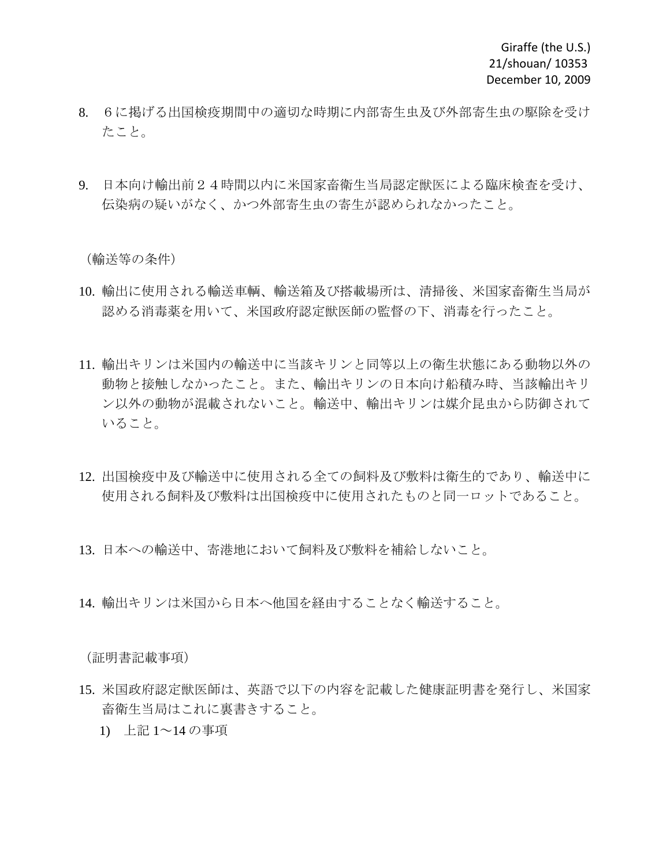- 8. 6に掲げる出国検疫期間中の適切な時期に内部寄生虫及び外部寄生虫の駆除を受け たこと。
- 9. 日本向け輸出前24時間以内に米国家畜衛生当局認定獣医による臨床検査を受け、 伝染病の疑いがなく、かつ外部寄生虫の寄生が認められなかったこと。

(輸送等の条件)

- 10. 輸出に使用される輸送車輌、輸送箱及び搭載場所は、清掃後、米国家畜衛生当局が 認める消毒薬を用いて、米国政府認定獣医師の監督の下、消毒を行ったこと。
- 11. 輸出キリンは米国内の輸送中に当該キリンと同等以上の衛生状態にある動物以外の 動物と接触しなかったこと。また、輸出キリンの日本向け船積み時、当該輸出キリ ン以外の動物が混載されないこと。輸送中、輸出キリンは媒介昆虫から防御されて いること。
- 12. 出国検疫中及び輸送中に使用される全ての飼料及び敷料は衛生的であり、輸送中に 使用される飼料及び敷料は出国検疫中に使用されたものと同一ロットであること。
- 13. 日本への輸送中、寄港地において飼料及び敷料を補給しないこと。
- 14. 輸出キリンは米国から日本へ他国を経由することなく輸送すること。

(証明書記載事項)

- 15. 米国政府認定獣医師は、英語で以下の内容を記載した健康証明書を発行し、米国家 畜衛生当局はこれに裏書きすること。
	- 1) 上記 1~14 の事項